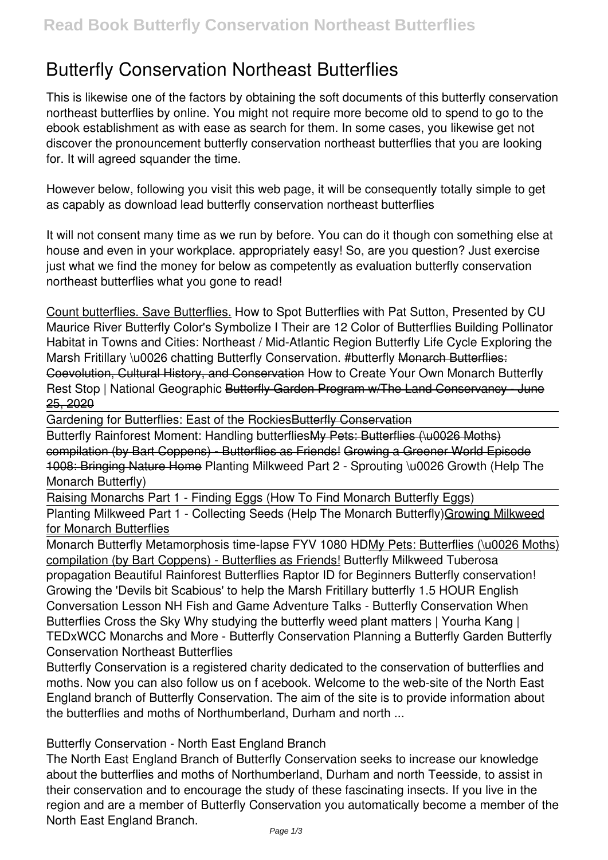# **Butterfly Conservation Northeast Butterflies**

This is likewise one of the factors by obtaining the soft documents of this **butterfly conservation northeast butterflies** by online. You might not require more become old to spend to go to the ebook establishment as with ease as search for them. In some cases, you likewise get not discover the pronouncement butterfly conservation northeast butterflies that you are looking for. It will agreed squander the time.

However below, following you visit this web page, it will be consequently totally simple to get as capably as download lead butterfly conservation northeast butterflies

It will not consent many time as we run by before. You can do it though con something else at house and even in your workplace. appropriately easy! So, are you question? Just exercise just what we find the money for below as competently as evaluation **butterfly conservation northeast butterflies** what you gone to read!

Count butterflies. Save Butterflies. How to Spot Butterflies with Pat Sutton, Presented by CU Maurice River **Butterfly Color's Symbolize I Their are 12 Color of Butterflies** *Building Pollinator Habitat in Towns and Cities: Northeast / Mid-Atlantic Region Butterfly Life Cycle Exploring the* Marsh Fritillary \u0026 chatting Butterfly Conservation. #butterfly Monarch Butterflies: Coevolution, Cultural History, and Conservation **How to Create Your Own Monarch Butterfly Rest Stop | National Geographic** Butterfly Garden Program w/The Land Conservancy - June 25, 2020

Gardening for Butterflies: East of the Rockies Butterfly Conservation

Butterfly Rainforest Moment: Handling butterfliesMy Pets: Butterflies (\u0026 Moths) compilation (by Bart Coppens) - Butterflies as Friends! Growing a Greener World Episode 1008: Bringing Nature Home Planting Milkweed Part 2 - Sprouting \u0026 Growth (Help The Monarch Butterfly)

Raising Monarchs Part 1 - Finding Eggs (How To Find Monarch Butterfly Eggs)

Planting Milkweed Part 1 - Collecting Seeds (Help The Monarch Butterfly)Growing Milkweed for Monarch Butterflies

Monarch Butterfly Metamorphosis time-lapse FYV 1080 HDMy Pets: Butterflies (\u0026 Moths) compilation (by Bart Coppens) - Butterflies as Friends! *Butterfly Milkweed Tuberosa propagation Beautiful Rainforest Butterflies* Raptor ID for Beginners Butterfly conservation! Growing the 'Devils bit Scabious' to help the Marsh Fritillary butterfly 1.5 HOUR English Conversation Lesson NH Fish and Game Adventure Talks - Butterfly Conservation **When Butterflies Cross the Sky** *Why studying the butterfly weed plant matters | Yourha Kang | TEDxWCC* **Monarchs and More - Butterfly Conservation Planning a Butterfly Garden** *Butterfly Conservation Northeast Butterflies*

Butterfly Conservation is a registered charity dedicated to the conservation of butterflies and moths. Now you can also follow us on f acebook. Welcome to the web-site of the North East England branch of Butterfly Conservation. The aim of the site is to provide information about the butterflies and moths of Northumberland, Durham and north ...

## *Butterfly Conservation - North East England Branch*

The North East England Branch of Butterfly Conservation seeks to increase our knowledge about the butterflies and moths of Northumberland, Durham and north Teesside, to assist in their conservation and to encourage the study of these fascinating insects. If you live in the region and are a member of Butterfly Conservation you automatically become a member of the North East England Branch.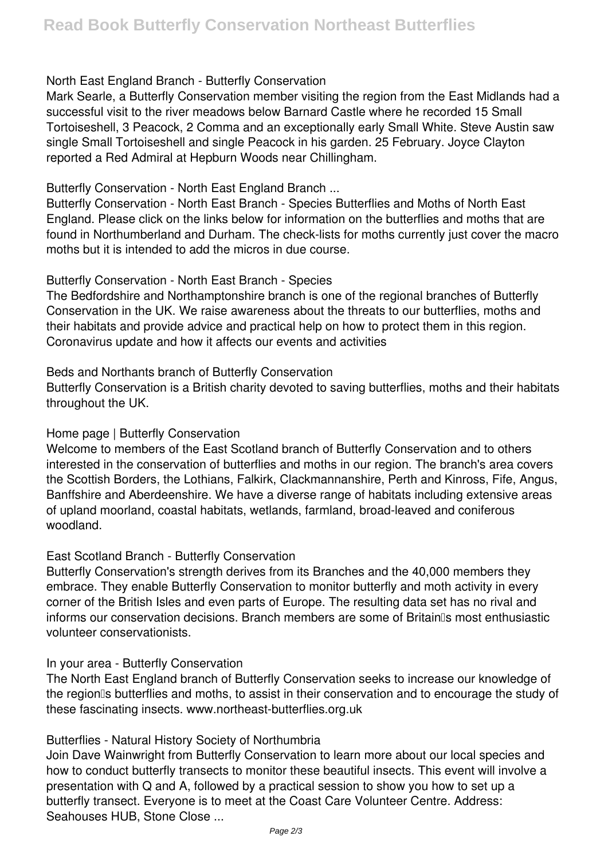## *North East England Branch - Butterfly Conservation*

Mark Searle, a Butterfly Conservation member visiting the region from the East Midlands had a successful visit to the river meadows below Barnard Castle where he recorded 15 Small Tortoiseshell, 3 Peacock, 2 Comma and an exceptionally early Small White. Steve Austin saw single Small Tortoiseshell and single Peacock in his garden. 25 February. Joyce Clayton reported a Red Admiral at Hepburn Woods near Chillingham.

## *Butterfly Conservation - North East England Branch ...*

Butterfly Conservation - North East Branch - Species Butterflies and Moths of North East England. Please click on the links below for information on the butterflies and moths that are found in Northumberland and Durham. The check-lists for moths currently just cover the macro moths but it is intended to add the micros in due course.

## *Butterfly Conservation - North East Branch - Species*

The Bedfordshire and Northamptonshire branch is one of the regional branches of Butterfly Conservation in the UK. We raise awareness about the threats to our butterflies, moths and their habitats and provide advice and practical help on how to protect them in this region. Coronavirus update and how it affects our events and activities

## *Beds and Northants branch of Butterfly Conservation*

Butterfly Conservation is a British charity devoted to saving butterflies, moths and their habitats throughout the UK.

## *Home page | Butterfly Conservation*

Welcome to members of the East Scotland branch of Butterfly Conservation and to others interested in the conservation of butterflies and moths in our region. The branch's area covers the Scottish Borders, the Lothians, Falkirk, Clackmannanshire, Perth and Kinross, Fife, Angus, Banffshire and Aberdeenshire. We have a diverse range of habitats including extensive areas of upland moorland, coastal habitats, wetlands, farmland, broad-leaved and coniferous woodland.

## *East Scotland Branch - Butterfly Conservation*

Butterfly Conservation's strength derives from its Branches and the 40,000 members they embrace. They enable Butterfly Conservation to monitor butterfly and moth activity in every corner of the British Isles and even parts of Europe. The resulting data set has no rival and informs our conservation decisions. Branch members are some of Britain is most enthusiastic volunteer conservationists.

## *In your area - Butterfly Conservation*

The North East England branch of Butterfly Conservation seeks to increase our knowledge of the regionlls butterflies and moths, to assist in their conservation and to encourage the study of these fascinating insects. www.northeast-butterflies.org.uk

## *Butterflies - Natural History Society of Northumbria*

Join Dave Wainwright from Butterfly Conservation to learn more about our local species and how to conduct butterfly transects to monitor these beautiful insects. This event will involve a presentation with Q and A, followed by a practical session to show you how to set up a butterfly transect. Everyone is to meet at the Coast Care Volunteer Centre. Address: Seahouses HUB, Stone Close ...